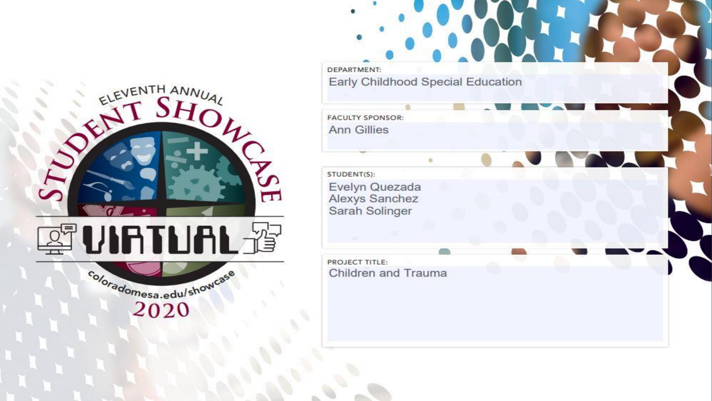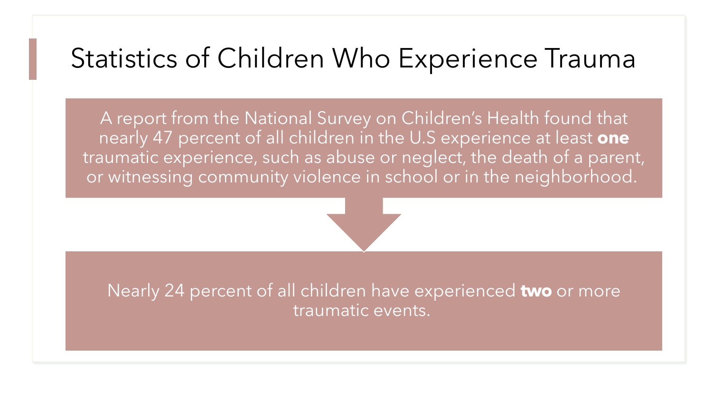### Statistics of Children Who Experience Trauma

A report from the National Survey on Children's Health found that nearly 47 percent of all children in the U.S experience at least **one** traumatic experience, such as abuse or neglect, the death of a parent, or witnessing community violence in school or in the neighborhood.

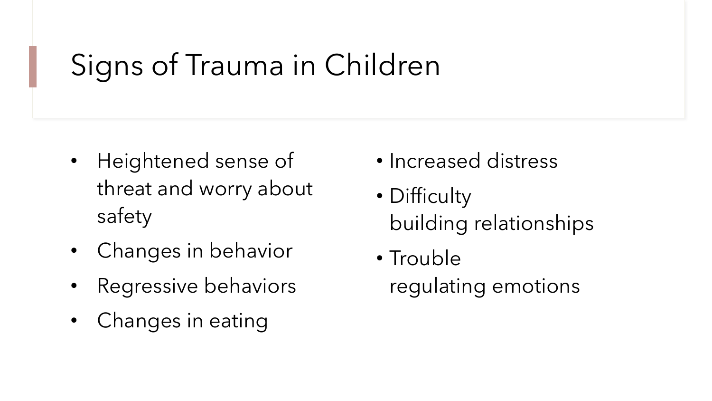# Signs of Trauma in Children

- Heightened sense of threat and worry about safety
- Changes in behavior
- Regressive behaviors
- Changes in eating
- Increased distress
- Difficulty building relationships
- Trouble regulating emotions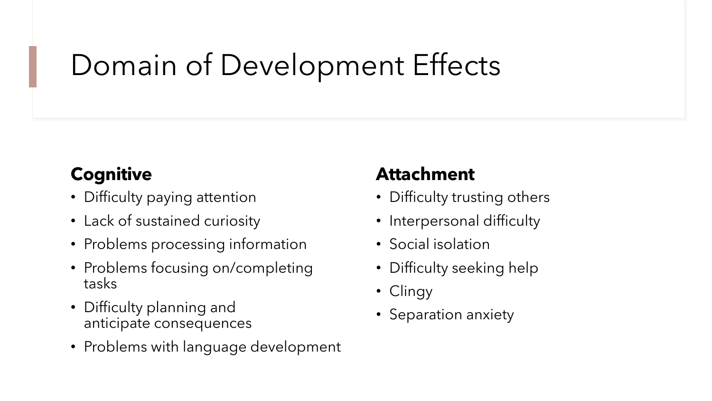## Domain of Development Effects

#### **Cognitive**

- Difficulty paying attention
- Lack of sustained curiosity
- Problems processing information
- Problems focusing on/completing tasks
- Difficulty planning and anticipate consequences
- Problems with language development

#### **Attachment**

- Difficulty trusting others
- Interpersonal difficulty
- Social isolation
- Difficulty seeking help
- Clingy
- Separation anxiety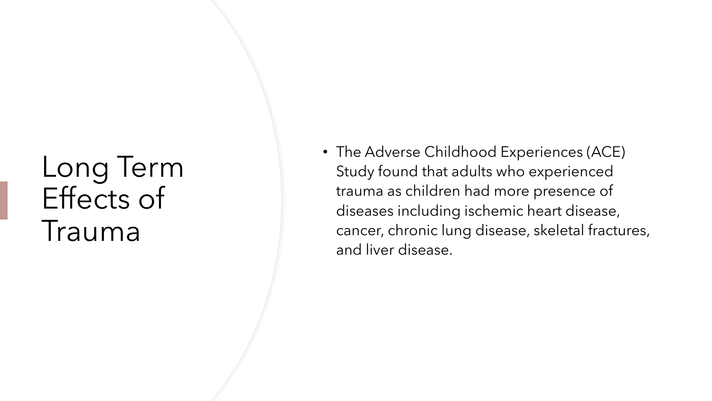## Long Term Effects of Trauma

• The Adverse Childhood Experiences (ACE) Study found that adults who experienced trauma as children had more presence of diseases including ischemic heart disease, cancer, chronic lung disease, skeletal fractures, and liver disease.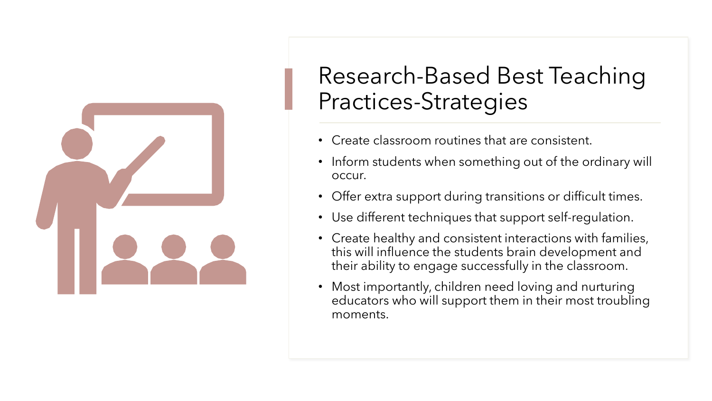

### Research-Based Best Teaching Practices-Strategies

- Create classroom routines that are consistent.
- Inform students when something out of the ordinary will occur.
- Offer extra support during transitions or difficult times.
- Use different techniques that support self-regulation.
- Create healthy and consistent interactions with families, this will influence the students brain development and their ability to engage successfully in the classroom.
- Most importantly, children need loving and nurturing educators who will support them in their most troubling moments.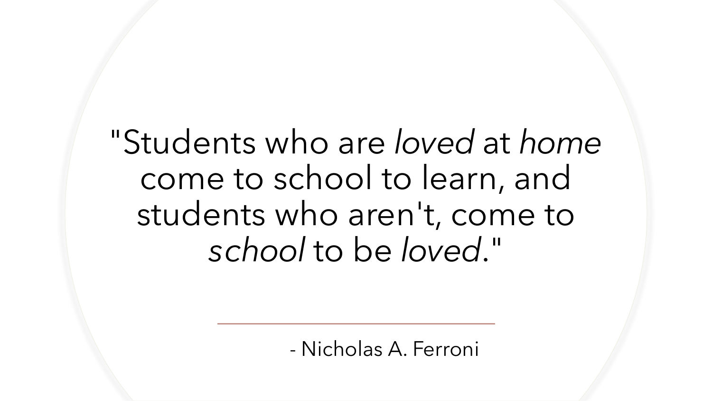# "Students who are *loved* at *home* come to school to learn, and students who aren't, come to *school* to be *loved*."

- Nicholas A. Ferroni